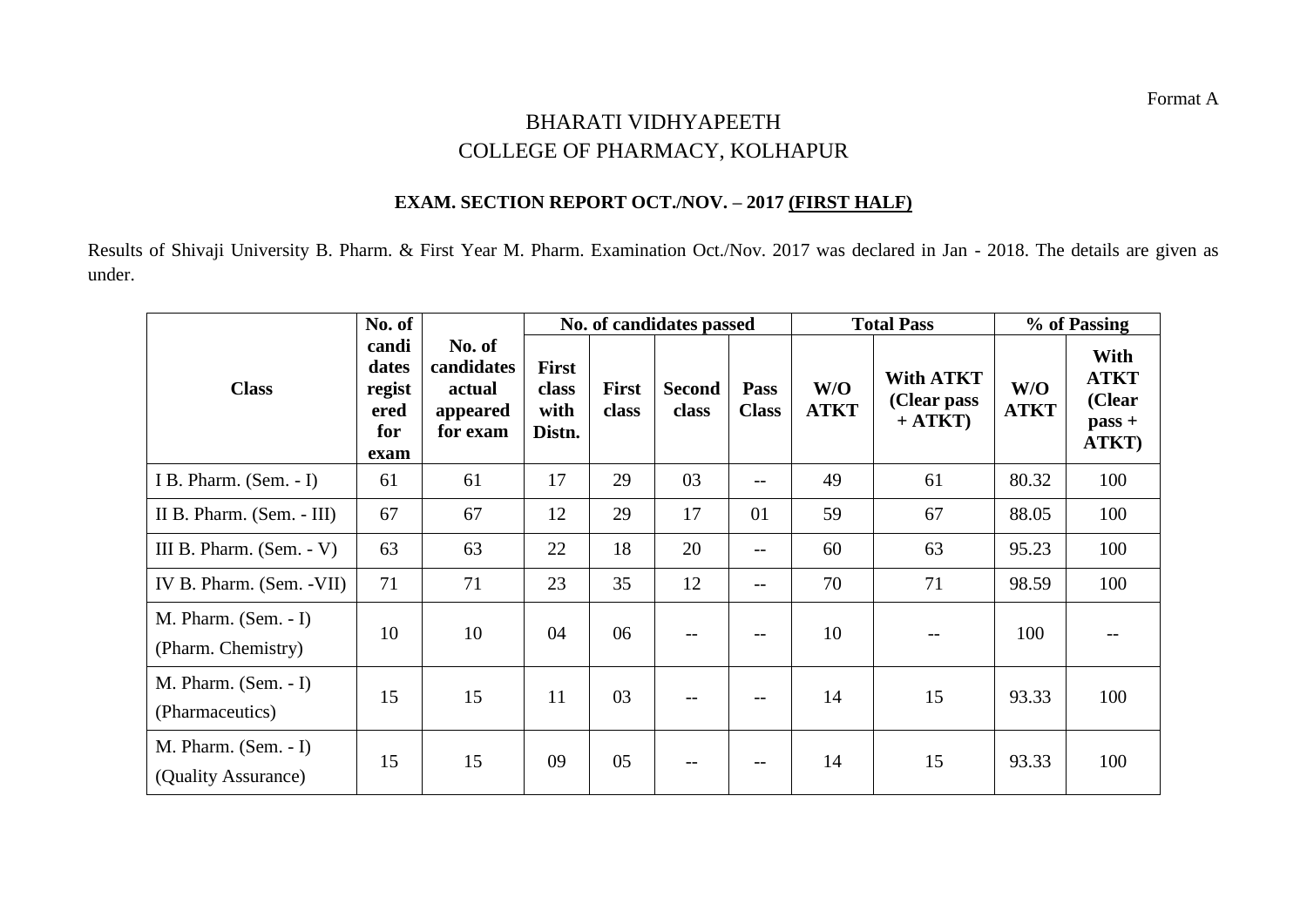## BHARATI VIDHYAPEETH COLLEGE OF PHARMACY, KOLHAPUR

## **EXAM. SECTION REPORT OCT./NOV. – 2017 (FIRST HALF)**

Results of Shivaji University B. Pharm. & First Year M. Pharm. Examination Oct./Nov. 2017 was declared in Jan - 2018. The details are given as under.

|                                               | No. of                                          |                                                        | No. of candidates passed                |                       |                        |                             |                    | <b>Total Pass</b>                            | % of Passing       |                                                    |
|-----------------------------------------------|-------------------------------------------------|--------------------------------------------------------|-----------------------------------------|-----------------------|------------------------|-----------------------------|--------------------|----------------------------------------------|--------------------|----------------------------------------------------|
| <b>Class</b>                                  | candi<br>dates<br>regist<br>ered<br>for<br>exam | No. of<br>candidates<br>actual<br>appeared<br>for exam | <b>First</b><br>class<br>with<br>Distn. | <b>First</b><br>class | <b>Second</b><br>class | <b>Pass</b><br><b>Class</b> | W/O<br><b>ATKT</b> | <b>With ATKT</b><br>(Clear pass<br>$+ ATKT)$ | W/O<br><b>ATKT</b> | With<br><b>ATKT</b><br>(Clear<br>$pass +$<br>ATKT) |
| I B. Pharm. (Sem. - I)                        | 61                                              | 61                                                     | 17                                      | 29                    | 03                     | $-$                         | 49                 | 61                                           | 80.32              | 100                                                |
| II B. Pharm. (Sem. - III)                     | 67                                              | 67                                                     | 12                                      | 29                    | 17                     | 01                          | 59                 | 67                                           | 88.05              | 100                                                |
| III B. Pharm. $(Sem. - V)$                    | 63                                              | 63                                                     | 22                                      | 18                    | 20                     | $-$                         | 60                 | 63                                           | 95.23              | 100                                                |
| IV B. Pharm. (Sem. - VII)                     | 71                                              | 71                                                     | 23                                      | 35                    | 12                     | $-$                         | 70                 | 71                                           | 98.59              | 100                                                |
| $M.$ Pharm. (Sem. - I)<br>(Pharm. Chemistry)  | 10                                              | 10                                                     | 04                                      | 06                    |                        |                             | 10                 |                                              | 100                |                                                    |
| $M.$ Pharm. (Sem. - I)<br>(Pharmaceutics)     | 15                                              | 15                                                     | 11                                      | 03                    |                        |                             | 14                 | 15                                           | 93.33              | 100                                                |
| $M.$ Pharm. (Sem. - I)<br>(Quality Assurance) | 15                                              | 15                                                     | 09                                      | 05                    |                        |                             | 14                 | 15                                           | 93.33              | 100                                                |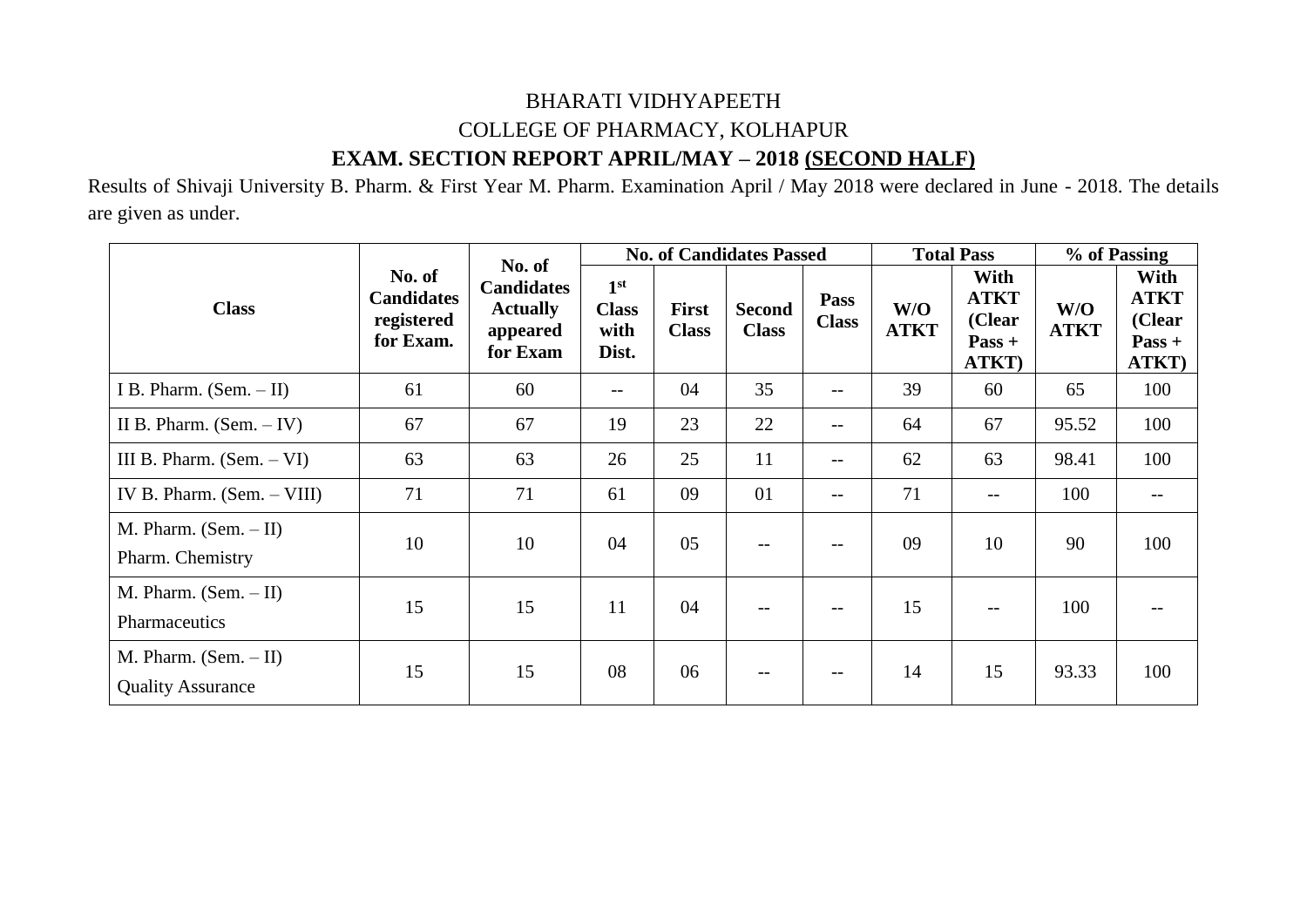## BHARATI VIDHYAPEETH COLLEGE OF PHARMACY, KOLHAPUR **EXAM. SECTION REPORT APRIL/MAY – 2018 (SECOND HALF)**

Results of Shivaji University B. Pharm. & First Year M. Pharm. Examination April / May 2018 were declared in June - 2018. The details are given as under.

|                                                     | No. of<br><b>Candidates</b><br>registered<br>for Exam. | No. of<br><b>Candidates</b><br><b>Actually</b><br>appeared<br>for Exam |                                                  |                              | <b>No. of Candidates Passed</b> |                             | <b>Total Pass</b>  |                                                    | % of Passing       |                                                    |
|-----------------------------------------------------|--------------------------------------------------------|------------------------------------------------------------------------|--------------------------------------------------|------------------------------|---------------------------------|-----------------------------|--------------------|----------------------------------------------------|--------------------|----------------------------------------------------|
| <b>Class</b>                                        |                                                        |                                                                        | 1 <sup>st</sup><br><b>Class</b><br>with<br>Dist. | <b>First</b><br><b>Class</b> | <b>Second</b><br><b>Class</b>   | <b>Pass</b><br><b>Class</b> | W/O<br><b>ATKT</b> | With<br><b>ATKT</b><br>(Clear<br>$Pass +$<br>ATKT) | W/O<br><b>ATKT</b> | With<br><b>ATKT</b><br>(Clear<br>$Pass +$<br>ATKT) |
| I B. Pharm. $(Sem. - II)$                           | 61                                                     | 60                                                                     | $\qquad \qquad -$                                | 04                           | 35                              | --                          | 39                 | 60                                                 | 65                 | 100                                                |
| II B. Pharm. $(Sem. - IV)$                          | 67                                                     | 67                                                                     | 19                                               | 23                           | 22                              | $--$                        | 64                 | 67                                                 | 95.52              | 100                                                |
| III B. Pharm. $(Sem. - VI)$                         | 63                                                     | 63                                                                     | 26                                               | 25                           | 11                              | $--$                        | 62                 | 63                                                 | 98.41              | 100                                                |
| IV B. Pharm. $(Sem. - VIII)$                        | 71                                                     | 71                                                                     | 61                                               | 09                           | 01                              | $--$                        | 71                 | $\qquad \qquad -$                                  | 100                |                                                    |
| M. Pharm. $(Sem. - II)$<br>Pharm. Chemistry         | 10                                                     | 10                                                                     | 04                                               | 05                           | $- -$                           | $- -$                       | 09                 | 10                                                 | 90                 | 100                                                |
| M. Pharm. $(Sem. - II)$<br>Pharmaceutics            | 15                                                     | 15                                                                     | 11                                               | 04                           | $-$                             | $-$                         | 15                 | $\qquad \qquad -$                                  | 100                |                                                    |
| M. Pharm. $(Sem. - II)$<br><b>Quality Assurance</b> | 15                                                     | 15                                                                     | 08                                               | 06                           | $ -$                            |                             | 14                 | 15                                                 | 93.33              | 100                                                |